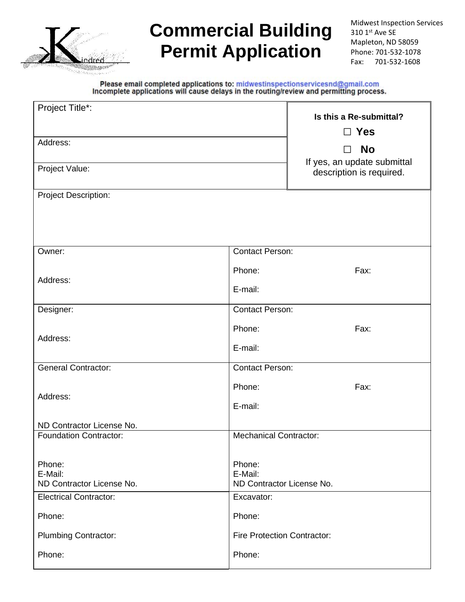

# **Commercial Building Permit Application**

Midwest Inspection Services 310 1st Ave SE Mapleton, ND 58059 Phone: 701-532-1078 Fax: 701-532-1608

Please email completed applications to: midwestinspectionservicesnd@gmail.com<br>Incomplete applications will cause delays in the routing/review and permitting process.

| Project Title*:                      | Is this a Re-submittal?              |                                               |  |  |
|--------------------------------------|--------------------------------------|-----------------------------------------------|--|--|
|                                      | $\Box$ Yes                           |                                               |  |  |
| Address:                             |                                      |                                               |  |  |
|                                      |                                      | <b>No</b><br>П<br>If yes, an update submittal |  |  |
| Project Value:                       |                                      | description is required.                      |  |  |
|                                      |                                      |                                               |  |  |
| <b>Project Description:</b>          |                                      |                                               |  |  |
|                                      |                                      |                                               |  |  |
|                                      |                                      |                                               |  |  |
| Owner:                               | <b>Contact Person:</b>               |                                               |  |  |
|                                      | Phone:                               | Fax:                                          |  |  |
| Address:                             | E-mail:                              |                                               |  |  |
| Designer:                            | <b>Contact Person:</b>               |                                               |  |  |
|                                      | Phone:                               | Fax:                                          |  |  |
| Address:                             |                                      |                                               |  |  |
|                                      | E-mail:                              |                                               |  |  |
| <b>General Contractor:</b>           | <b>Contact Person:</b>               |                                               |  |  |
|                                      | Phone:                               | Fax:                                          |  |  |
| Address:                             | E-mail:                              |                                               |  |  |
| ND Contractor License No.            |                                      |                                               |  |  |
| <b>Foundation Contractor:</b>        | <b>Mechanical Contractor:</b>        |                                               |  |  |
|                                      |                                      |                                               |  |  |
| Phone:                               | Phone:                               |                                               |  |  |
| E-Mail:<br>ND Contractor License No. | E-Mail:<br>ND Contractor License No. |                                               |  |  |
| <b>Electrical Contractor:</b>        | Excavator:                           |                                               |  |  |
| Phone:                               | Phone:                               |                                               |  |  |
| <b>Plumbing Contractor:</b>          | <b>Fire Protection Contractor:</b>   |                                               |  |  |
|                                      |                                      |                                               |  |  |
| Phone:                               | Phone:                               |                                               |  |  |